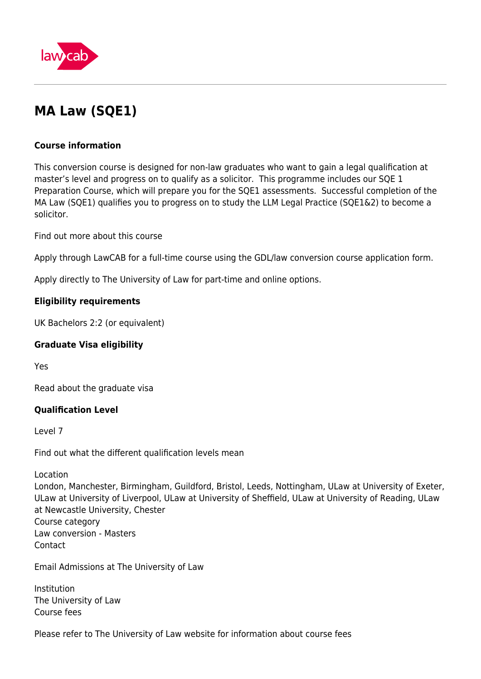

# **MA Law (SQE1)**

# **Course information**

This conversion course is designed for non-law graduates who want to gain a legal qualification at master's level and progress on to qualify as a solicitor. This programme includes our SQE 1 Preparation Course, which will prepare you for the SQE1 assessments. Successful completion of the MA Law (SQE1) qualifies you to progress on to study the LLM Legal Practice (SQE1&2) to become a solicitor.

Find out more about this course

Apply through LawCAB for a full-time course using the GDL/law conversion course application form.

Apply directly to The University of Law for part-time and online options.

# **Eligibility requirements**

UK Bachelors 2:2 (or equivalent)

# **Graduate Visa eligibility**

Yes

Read about the graduate visa

# **Qualification Level**

Level 7

Find out what the different qualification levels mean

Location

London, Manchester, Birmingham, Guildford, Bristol, Leeds, Nottingham, ULaw at University of Exeter, ULaw at University of Liverpool, ULaw at University of Sheffield, ULaw at University of Reading, ULaw at Newcastle University, Chester Course category Law conversion - Masters Contact

Email Admissions at The University of Law

Institution The University of Law Course fees

Please refer to The University of Law website for information about course fees